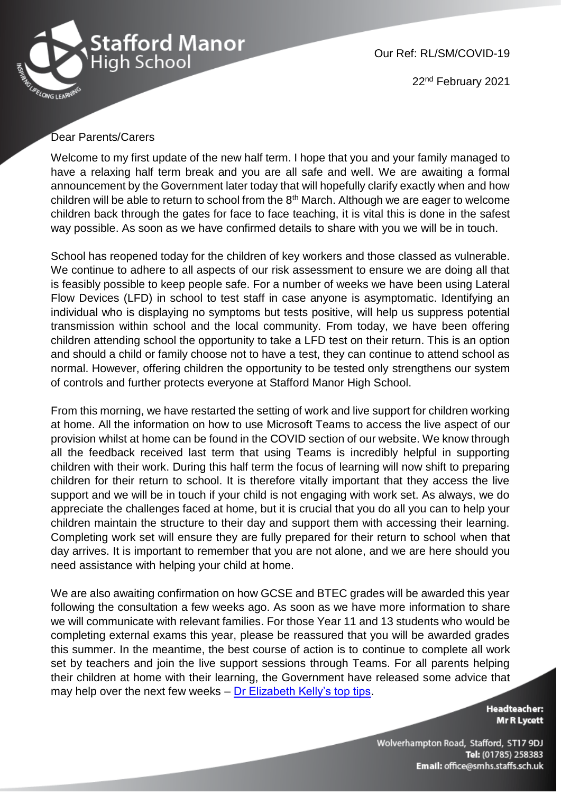

Our Ref: RL/SM/COVID-19

22nd February 2021

## Dear Parents/Carers

Welcome to my first update of the new half term. I hope that you and your family managed to have a relaxing half term break and you are all safe and well. We are awaiting a formal announcement by the Government later today that will hopefully clarify exactly when and how children will be able to return to school from the  $8<sup>th</sup>$  March. Although we are eager to welcome children back through the gates for face to face teaching, it is vital this is done in the safest way possible. As soon as we have confirmed details to share with you we will be in touch.

School has reopened today for the children of key workers and those classed as vulnerable. We continue to adhere to all aspects of our risk assessment to ensure we are doing all that is feasibly possible to keep people safe. For a number of weeks we have been using Lateral Flow Devices (LFD) in school to test staff in case anyone is asymptomatic. Identifying an individual who is displaying no symptoms but tests positive, will help us suppress potential transmission within school and the local community. From today, we have been offering children attending school the opportunity to take a LFD test on their return. This is an option and should a child or family choose not to have a test, they can continue to attend school as normal. However, offering children the opportunity to be tested only strengthens our system of controls and further protects everyone at Stafford Manor High School.

From this morning, we have restarted the setting of work and live support for children working at home. All the information on how to use Microsoft Teams to access the live aspect of our provision whilst at home can be found in the COVID section of our website. We know through all the feedback received last term that using Teams is incredibly helpful in supporting children with their work. During this half term the focus of learning will now shift to preparing children for their return to school. It is therefore vitally important that they access the live support and we will be in touch if your child is not engaging with work set. As always, we do appreciate the challenges faced at home, but it is crucial that you do all you can to help your children maintain the structure to their day and support them with accessing their learning. Completing work set will ensure they are fully prepared for their return to school when that day arrives. It is important to remember that you are not alone, and we are here should you need assistance with helping your child at home.

We are also awaiting confirmation on how GCSE and BTEC grades will be awarded this year following the consultation a few weeks ago. As soon as we have more information to share we will communicate with relevant families. For those Year 11 and 13 students who would be completing external exams this year, please be reassured that you will be awarded grades this summer. In the meantime, the best course of action is to continue to complete all work set by teachers and join the live support sessions through Teams. For all parents helping their children at home with their learning, the Government have released some advice that may help over the next few weeks – [Dr Elizabeth Kelly's top tips.](https://www.youtube.com/watch?v=KZaC3Jsgb4Q&feature=youtu.be)

> **Headteacher: Mr R Lycett**

Wolverhampton Road, Stafford, ST17 9DJ Tel: (01785) 258383 Email: office@smhs.staffs.sch.uk